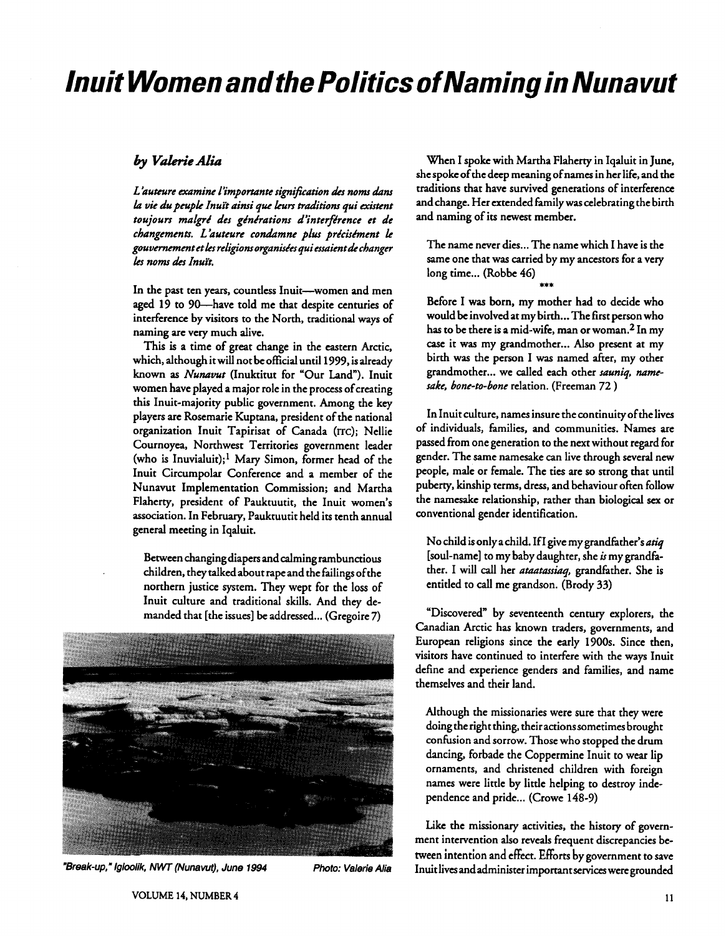# **Inuit Women and the Politics of Naming in Nunavut**

## by Valerie Alia

L'auteure examine l'importante signification des noms dans **kz** *vie du pnrpk Inuft ainsi que* **kurs** *traditions qui existent*  toujours malgré des générations d'interférence et de *changemmts. L kuteure con&mne plus pricisimmt k*  gouvernement et les religions organisées qui essaient de changer *ks noms &S Znuik* 

In the past ten years, countless Inuit---women and men **aged** 19 to 90-have told me that despite centuries of interference by visitors to the North, traditional ways of naming are very much dive.

This is a time of great change in the eastern Arctic, which, although it will not be oficial until 1999, is already known as *Nunavut* (Inuktitut for "Our Land"). Inuit women have played a major role in the process of creating this Inuit-majority public government. Among the key players are Rosemarie Kuptana, president of the national organization Inuit Tapirisat of Canada (ITC); Nellie Cournoyea, Northwest Territories government leader (who is Inuvialuit);<sup>1</sup> Mary Simon, former head of the Inuit Circumpolar Conference and a member of the Nunavut Implementation Commission; and Martha Flaherty, president of Pauktuutit, the Inuit women's association. In February, Pauktuutit held its tenth annual general meeting in Iqaluit.

Between changing diapers and calming rambunctious children, they talked about rape and the failings ofthe northern justice system. They wept for the loss of Inuit culture and traditional skills. And they demanded that [the issues] be addressed... (Gregoire 7)



**"Break-up," Iglaalik,** NW **(Nunavut), June 1994 Photo: Valerie Alia** 

When I spoke with Martha Flaherty in Iqaluit in June, she spoke of the deep meaning of names in her life, and the traditions that have survived generations of interference and change. Her extended Family was celebrating the birth and naming of its newest member.

The name never dies... The name which I have is the same one that was carried by my ancestors for a very long time... (Robbe 46)

Before I was born, my mother had to decide who would be involved at my birth... The first person who has to be there is a mid-wife, man or woman.2 In my case it was my grandmother ... Also present at my birth was the person I was named after, my other grandmother ... we called each other *sauniq, numesake, bone-to-bone* relation. (Freeman 72 )

In Inuit culture, names insure the continuity of the lives of individuals, families, and communities. Names are passed from one generation to the next without regard for gender. The same namesake can live through several new people, male or female. The ties are so strong that until puberty, kinship terms, dress, and behaviour often follow the namesake relationship, rather than biological **sex** or conventional gender identification.

No child is only a child. If I give my grandfather's *atiq*  [soul-name] to my baby daughter, she **is** my grandfather. I will call her *ataatussiaq,* grandfather. She is entitled to call me grandson. (Brody 33)

"Discovered" by seventeenth century explorers, the Canadian Arctic has known traders, governments, and European religions since the early 1900s. Since then, visitors have continued to interfere with the ways Inuit define and experience genders and families, and name themselves and their land.

Although the missionaries were sure that they were doing the right thing, theiractionssometimes brought confusion and sorrow. Those who stopped the drum dancing, forbade the Coppermine Inuit to wear lip ornaments, and christened children with foreign names were little by little helping to destroy independence and pride... (Crowe 148-9)

Like the missionary activities, the history of government intervention also reveals frequent discrepancies between intention and effect. Efforts by government to save Inuit lives and administer important **services** weregrounded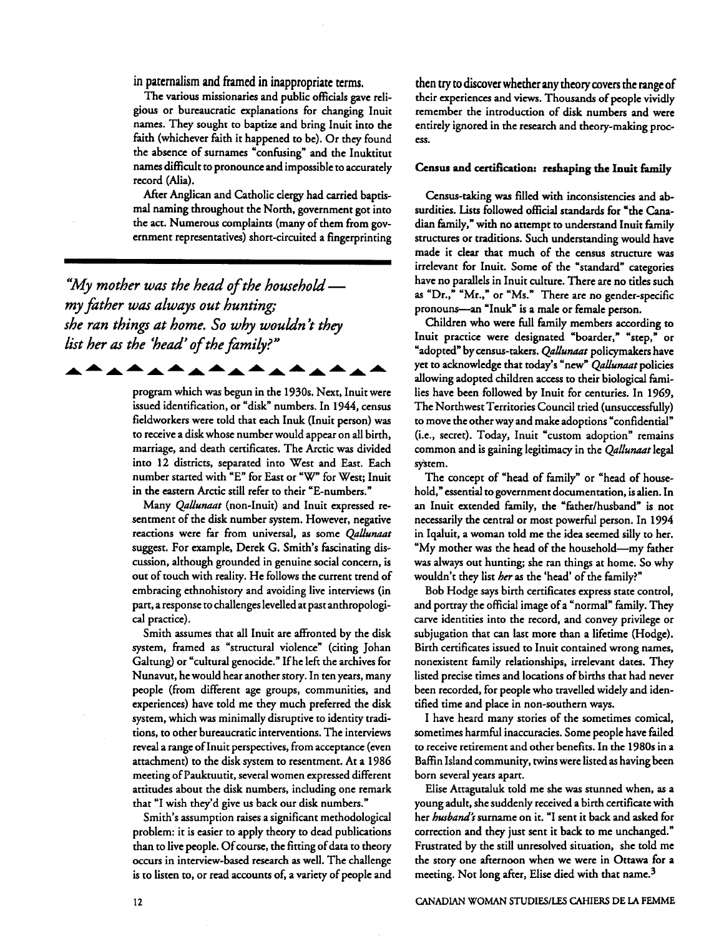in paternalism and framed in inappropriate terms.

The various missionaries and public officials gave religious or bureaucratic explanations for changing Inuit names. They sought to baptize and bring Inuit into the faith (whichever faith it happened to be). Or they found the absence of surnames "confusing" and the Inuktitut names difficult to pronounce and impossible to accurately record (Alia).

After Anglican and Catholic clergy had carried baptismal naming throughout the North, government got into the act. Numerous complaints (many of them from government representatives) short-circuited a fingerprinting

*"My mother war the head of the hourehokimy faher war always out hunting she ran things at home. So why woukin* 't *they list her ar the 'head' of the family?"* 

<u>▖<sup>▟</sup>▗▝▗▝▗▝▖<sup>▟</sup>▗▝▖<sup>▟</sup>▗▝▖</u>

program which was begun in the 1930s. Next, Inuit were issued identification, or "disk" numbers. In 1944, census fieldworkers were told that each Inuk (Inuit person) was to receive a disk whose number would appear on all birth, marriage, and death certificates. The Arctic was divided into 12 districts, separated into West and East. Each number started with "E" for East or "W" for West; Inuit in the eastern Arctic still refer to their "E-numbers."

Many *QaUunaat* (non-Inuit) and Inuit expressed resentment of the disk number system. However, negative reactions were **far** from universal, as some *QaUunaat*  suggest. For example, Derek G. Smith's fascinating discussion, although grounded in genuine social concern, is out of touch with reality. He follows the current trend of embracing ethnohistory and avoiding live interviews (in part, a response to challenges levelled at past anthropological practice).

Smith assumes that all Inuit are affronted by the disk system, framed as "structural violence" (citing Johan Galtung) or "cultural genocide." If he left the archives for Nunavut, he would hear another story. In ten years, many people (from different age groups, communities, and experiences) have told me they much preferred the disk system, which was minimally disruptive to identity traditions, to other bureaucratic interventions. The interviews reveal a range of Inuit perspectives, from acceptance (even attachment) to the disk system to resentment. At a 1986 meeting of Pauktuutit, several women expressed different attitudes about the disk numbers, including one remark that "I wish they'd give us back our disk numbers."

Smith's assumption raises a significant methodological problem: it is easier to apply theory to dead publications than to live people. Of course, the fitting of data to theory occurs in interview-based research as well. The challenge is to listen to, or read accounts of, a variety of people and

then try to discover whether **any** theory covers the range of their experiences and views. Thousands of people vividly remember the introduction of disk numbers and were entirely ignored in the research and theory-making process.

#### Census and certification: reshaping the Inuit family

Census-taking was filled with inconsistencies and absurdities. Lists followed official standards for "the Canadian family," with no attempt to understand Inuit family structures or traditions. Such understanding would have made it clear that much of the census structure was irrelevant for Inuit. Some of the "standard" categories have no parallels in Inuit culture. There are no titles such as "Dr.," "Mr.," or "Ms." There are no gender-specific pronouns-an "Inuk" is a male or female person.

Children who were full family members according to Inuit practice were designated "boarder," "step," or "adopted" by census-takers. *QaUunaat* policymakers have yet to acknowledge that today's "new" *Qallunaat* policies allowing adopted children access to their biological families have been followed by Inuit for centuries. In 1969, The Northwest Territories Council tried (unsuccessfully) to move the other way and make adoptions "confidential" (i.e., secret). Today, Inuit "custom adoption" remains common and is gaining legitimacy in the *QaUunaat* legal system.

The concept of "head of family" or "head of household," essential to government documentation, is alien. In an Inuit extended family, the "father/husband" is not necessarily the central or most powerful person. In 1994 in Iqaluit, a woman told me the idea seemed silly to her. "My mother was the head of the household-my father was always out hunting; she ran things at home. So why wouldn't they list *her* as the 'head' of the family?"

Bob Hodge says birth certificates express state control, and portray the official image of a "normal" family. They carve identities into the record, and convey privilege or subjugation that can last more than a lifetime (Hodge). Birth certificates issued to Inuit contained wrong names, nonexistent family relationships, irrelevant dates. They listed precise times and locations of births that had never been recorded, for people who travelled widely and identified time and place in non-southern ways.

I have heard many stories of the sometimes comical, sometimes harmful inaccuracies. Some people have failed to receive retirement and other benefits. In the 1980s in a Baffin Island community, twins were listed as having been born several years apart.

Elise Attagutaluk told me she was stunned when, as a young adult, she suddenly received a birth certificate with her *husband?* surname on it. "I sent it back and asked for correction and they just sent it back to me unchanged." Frustrated by the still unresolved situation, she told me the story one afternoon when we were in Ottawa for a meeting. Not long after, Elise died with that name.<sup>3</sup>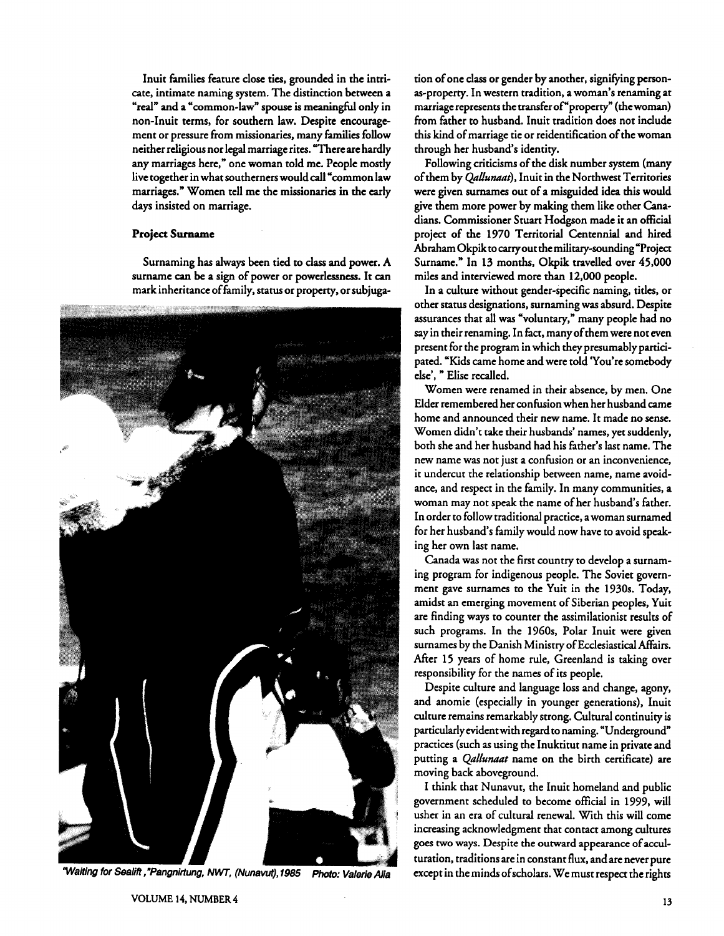Inuit families feature close ties, grounded in the intricate, intimate naming system. The distinction between a "real" and a "common-law" spouse is meaningful only in non-Inuit terms, for southern law. Despite encouragement or pressure from missionaries, many families follow neither religious nor legal marriage rites. "There are hardly any marriages here," one woman told me. People mostly live together in what southerners would call "common law marriages." Women tell me the missionaries in the early days insisted on marriage.

#### **Project Surname**

Surnaming has always been tied to **dass** and power. A surname can **be** a sign of power or powerlessness. It can mark inheritance of family, status or property, or subjuga-



"Waiting for Sealift, "Pangnirtung, NWT, (Nunavut), 1985 Photo: Valerie Alia except in the minds of scholars. We must respect the rights

tion of one dass or gender by another, signifying personas-property. In western tradition, a woman's renaming at marriage represents the transfer of'property" (the woman) from father to husband. Inuit tradition does not indude this kind of marriage tie or reidentification of the woman through her husband's identity.

Following criticisms of the disk number system (many of them by *Qallunaat*), Inuit in the Northwest Territories were given surnames out of a misguided idea this would give them more power by making them like other Canadians. Commissioner Stuart Hodgson made it an official project of the 1970 Territorial Centennial and hired **Abraharn** Okpik to carry out the military-sounding 'Project Surname." In 13 months, Okpik travelled over 45,000 miles and interviewed more than 12,000 people.

In a culture without gender-specific naming, titles, or other status designations, surnaming was absurd. Despite assurances that all was "voluntary," many people had no say in their renaming. In fact, many of them were not even present for the program in which they presumably participated. "Kids came home and were told 'You're somebody else'. " Elise recalled.

Women were renamed in their absence, by men. One Elder remembered her confusion when her husband came home and announced their new name. It made no sense. Women didn't take their husbands' names, yet suddenly, both she and her husband had his father's last name. The new name was not just a confusion or an inconvenience, it undercut the relationship between name, name avoidance, and respect in the family. In many communities, a woman may not speak the name of her husband's father. In order to follow traditional practice, a woman surnamed for her husband's family would now have to avoid speaking her own last name.

Canada was not the first country to develop a surnaming program for indigenous people. The Soviet government gave surnames to the Yuit in the 1930s. Today, amidst an emerging movement of Siberian peoples, Yuit are finding ways to counter the assimilationist results of such programs. In the 1960s, Polar Inuit were given surnames by the Danish Ministry of Ecclesiastical Affairs. After 15 years of home rule, Greenland is taking over responsibility for the names of its people.

Despite culture and language loss and change, agony, and anomie (especially in younger generations), Inuit culture remains remarkably strong. Cultural continuity is particularly evident with regard to naming. "Underground" practices (such as using the Inuktitut name in private and putting a *Qallunaat* name on the birth certificate) are moving back aboveground.

I think that Nunavut, the Inuit homeland and public government scheduled to become official in 1999, will usher in an era of cultural renewal. With this will come increasing acknowledgment that contact among cultures goes two ways. Despite the outward appearance of acculturation, traditions are in constant flux, and are never pure